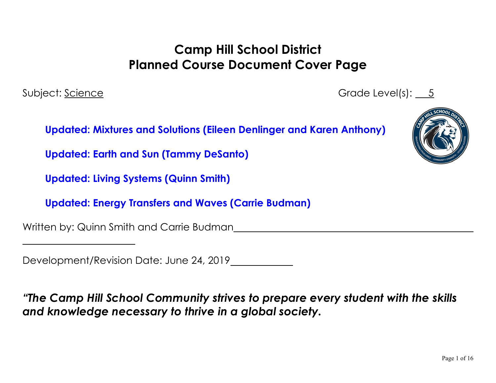# **Camp Hill School District Planned Course Document Cover Page**

Subject: Science Grade Level(s): 5

**Updated: Mixtures and Solutions (Eileen Denlinger and Karen Anthony)**

**Updated: Earth and Sun (Tammy DeSanto)**

**Updated: Living Systems (Quinn Smith)**

**Updated: Energy Transfers and Waves (Carrie Budman)**

Written by: Quinn Smith and Carrie Budman

Development/Revision Date: June 24, 2019

*"The Camp Hill School Community strives to prepare every student with the skills and knowledge necessary to thrive in a global society.*

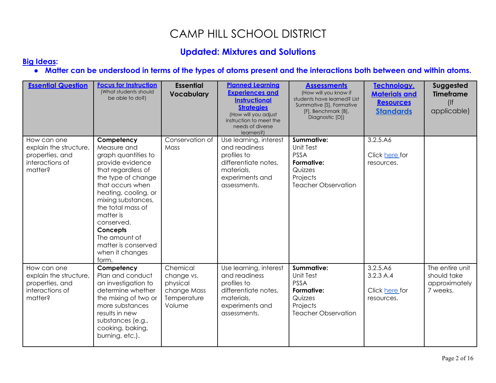## CAMP HILL SCHOOL DISTRICT

### **Updated: Mixtures and Solutions**

#### **[Big Ideas](http://www.pdesas.org/module/sas/curriculumframework/):**

### **● Matter can be understood in terms of the types of atoms present and the interactions both between and within atoms.**

| <b>Essential Question</b>                                                              | <b>Focus for Instruction</b><br>(What students should)<br>be able to do?)                                                                                                                                                                                                                                          | <b>Essential</b><br><b>Vocabulary</b>                                      | <b>Planned Learning</b><br><b>Experiences and</b><br><b>Instructional</b><br><b>Strategies</b><br>(How will you adjust<br>instruction to meet the<br>needs of diverse<br>learners?) | <b>Assessments</b><br>(How will you know if<br>students have learned? List<br>Summative [S], Formative<br>[F], Benchmark [B],<br>Diagnostic [D]) | Technology,<br><b>Materials and</b><br><b>Resources</b><br><b>Standards</b> | Suggested<br><b>Timeframe</b><br>(<br>applicable)           |
|----------------------------------------------------------------------------------------|--------------------------------------------------------------------------------------------------------------------------------------------------------------------------------------------------------------------------------------------------------------------------------------------------------------------|----------------------------------------------------------------------------|-------------------------------------------------------------------------------------------------------------------------------------------------------------------------------------|--------------------------------------------------------------------------------------------------------------------------------------------------|-----------------------------------------------------------------------------|-------------------------------------------------------------|
| How can one<br>explain the structure,<br>properties, and<br>interactions of<br>matter? | Competency<br>Measure and<br>graph quantities to<br>provide evidence<br>that regardless of<br>the type of change<br>that occurs when<br>heating, cooling, or<br>mixing substances,<br>the total mass of<br>matter is<br>conserved.<br>Concepts<br>The amount of<br>matter is conserved<br>when it changes<br>form. | Conservation of<br>Mass                                                    | Use learning, interest<br>and readiness<br>profiles to<br>differentiate notes,<br>materials,<br>experiments and<br>assessments.                                                     | <b>Summative:</b><br><b>Unit Test</b><br><b>PSSA</b><br>Formative:<br>Quizzes<br>Projects<br><b>Teacher Observation</b>                          | 3.2.5.A6<br>Click here for<br>resources.                                    |                                                             |
| How can one<br>explain the structure,<br>properties, and<br>interactions of<br>matter? | Competency<br>Plan and conduct<br>an investigation to<br>determine whether<br>the mixing of two or<br>more substances<br>results in new<br>substances (e.g.,<br>cooking, baking,<br>burning, etc.).                                                                                                                | Chemical<br>change vs.<br>physical<br>change Mass<br>Temperature<br>Volume | Use learning, interest<br>and readiness<br>profiles to<br>differentiate notes,<br>materials,<br>experiments and<br>assessments.                                                     | Summative:<br><b>Unit Test</b><br><b>PSSA</b><br>Formative:<br>Quizzes<br>Projects<br><b>Teacher Observation</b>                                 | 3.2.5.A6<br>3.2.3A.4<br>Click here for<br>resources.                        | The entire unit<br>should take<br>approximately<br>7 weeks. |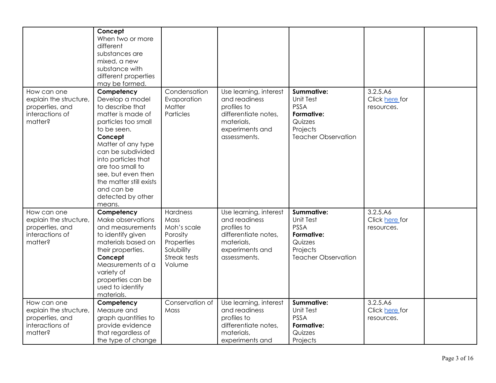|                                                                                        | Concept<br>When two or more<br>different<br>substances are<br>mixed, a new<br>substance with<br>different properties<br>may be formed.                                                                                                                                                                      |                                                                                                   |                                                                                                                                 |                                                                                                                         |                                          |  |
|----------------------------------------------------------------------------------------|-------------------------------------------------------------------------------------------------------------------------------------------------------------------------------------------------------------------------------------------------------------------------------------------------------------|---------------------------------------------------------------------------------------------------|---------------------------------------------------------------------------------------------------------------------------------|-------------------------------------------------------------------------------------------------------------------------|------------------------------------------|--|
| How can one<br>explain the structure,<br>properties, and<br>interactions of<br>matter? | Competency<br>Develop a model<br>to describe that<br>matter is made of<br>particles too small<br>to be seen.<br>Concept<br>Matter of any type<br>can be subdivided<br>into particles that<br>are too small to<br>see, but even then<br>the matter still exists<br>and can be<br>detected by other<br>means. | Condensation<br>Evaporation<br>Matter<br>Particles                                                | Use learning, interest<br>and readiness<br>profiles to<br>differentiate notes,<br>materials,<br>experiments and<br>assessments. | <b>Summative:</b><br>Unit Test<br><b>PSSA</b><br>Formative:<br>Quizzes<br>Projects<br><b>Teacher Observation</b>        | 3.2.5.A6<br>Click here for<br>resources. |  |
| How can one<br>explain the structure,<br>properties, and<br>interactions of<br>matter? | Competency<br>Make observations<br>and measurements<br>to identify given<br>materials based on<br>their properties.<br>Concept<br>Measurements of a<br>variety of<br>properties can be<br>used to identify<br>materials.                                                                                    | Hardness<br>Mass<br>Moh's scale<br>Porosity<br>Properties<br>Solubility<br>Streak tests<br>Volume | Use learning, interest<br>and readiness<br>profiles to<br>differentiate notes,<br>materials,<br>experiments and<br>assessments. | <b>Summative:</b><br><b>Unit Test</b><br><b>PSSA</b><br>Formative:<br>Quizzes<br>Projects<br><b>Teacher Observation</b> | 3.2.5.A6<br>Click here for<br>resources. |  |
| How can one<br>explain the structure,<br>properties, and<br>interactions of<br>matter? | Competency<br>Measure and<br>graph quantities to<br>provide evidence<br>that regardless of<br>the type of change                                                                                                                                                                                            | Conservation of<br>Mass                                                                           | Use learning, interest<br>and readiness<br>profiles to<br>differentiate notes,<br>materials,<br>experiments and                 | <b>Summative:</b><br>Unit Test<br><b>PSSA</b><br>Formative:<br>Quizzes<br>Projects                                      | 3.2.5.A6<br>Click here for<br>resources. |  |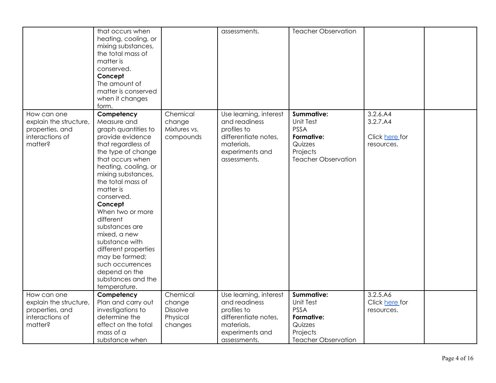|                                                                                        | that occurs when<br>heating, cooling, or<br>mixing substances,<br>the total mass of<br>matter is<br>conserved.<br>Concept<br>The amount of<br>matter is conserved<br>when it changes<br>form.                                                                                                                                                                                                                                                           |                                                              | assessments.                                                                                                                    | <b>Teacher Observation</b>                                                                                       |                                                      |  |
|----------------------------------------------------------------------------------------|---------------------------------------------------------------------------------------------------------------------------------------------------------------------------------------------------------------------------------------------------------------------------------------------------------------------------------------------------------------------------------------------------------------------------------------------------------|--------------------------------------------------------------|---------------------------------------------------------------------------------------------------------------------------------|------------------------------------------------------------------------------------------------------------------|------------------------------------------------------|--|
| How can one<br>explain the structure,<br>properties, and<br>interactions of<br>matter? | Competency<br>Measure and<br>graph quantities to<br>provide evidence<br>that regardless of<br>the type of change<br>that occurs when<br>heating, cooling, or<br>mixing substances,<br>the total mass of<br>matter is<br>conserved.<br>Concept<br>When two or more<br>different<br>substances are<br>mixed, a new<br>substance with<br>different properties<br>may be formed;<br>such occurrences<br>depend on the<br>substances and the<br>temperature. | Chemical<br>change<br>Mixtures vs.<br>compounds              | Use learning, interest<br>and readiness<br>profiles to<br>differentiate notes,<br>materials,<br>experiments and<br>assessments. | Summative:<br><b>Unit Test</b><br><b>PSSA</b><br>Formative:<br>Quizzes<br>Projects<br><b>Teacher Observation</b> | 3.2.6.A4<br>3.2.7.A4<br>Click here for<br>resources. |  |
| How can one<br>explain the structure,<br>properties, and<br>interactions of<br>matter? | Competency<br>Plan and carry out<br>investigations to<br>determine the<br>effect on the total<br>mass of a                                                                                                                                                                                                                                                                                                                                              | Chemical<br>change<br><b>Dissolve</b><br>Physical<br>changes | Use learning, interest<br>and readiness<br>profiles to<br>differentiate notes,<br>materials,<br>experiments and                 | <b>Summative:</b><br>Unit Test<br><b>PSSA</b><br>Formative:<br>Quizzes<br>Projects                               | 3.2.5.A6<br>Click here for<br>resources.             |  |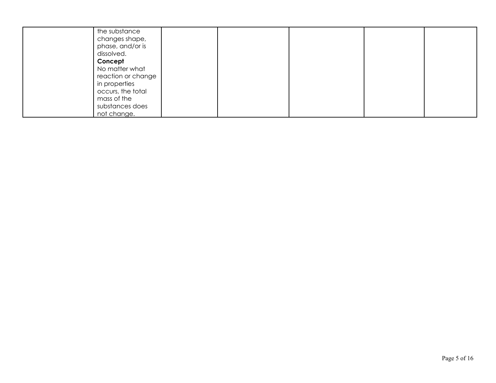| the substance      |  |  |  |
|--------------------|--|--|--|
| changes shape,     |  |  |  |
| phase, and/or is   |  |  |  |
| dissolved.         |  |  |  |
| Concept            |  |  |  |
| No matter what     |  |  |  |
| reaction or change |  |  |  |
| in properties      |  |  |  |
| occurs, the total  |  |  |  |
| mass of the        |  |  |  |
| substances does    |  |  |  |
| not change.        |  |  |  |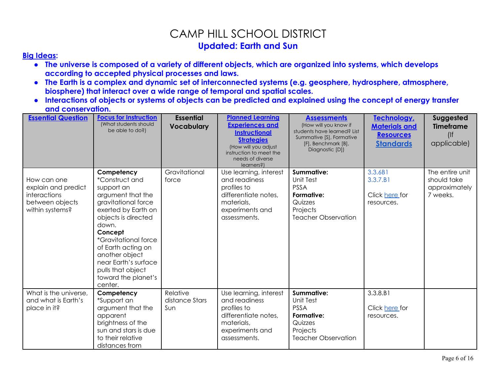### CAMP HILL SCHOOL DISTRICT **Updated: Earth and Sun**

#### **[Big Ideas](http://www.pdesas.org/module/sas/curriculumframework/):**

- **● The universe is composed of a variety of different objects, which are organized into systems, which develops according to accepted physical processes and laws.**
- **● The Earth is a complex and dynamic set of interconnected systems (e.g. geosphere, hydrosphere, atmosphere, biosphere) that interact over a wide range of temporal and spatial scales.**
- **● Interactions of objects or systems of objects can be predicted and explained using the concept of energy transfer and conservation.**

| <b>Essential Question</b>                                                                | <b>Focus for Instruction</b><br>(What students should<br>be able to do?)                                                                                                                                                                                                                                              | <b>Essential</b><br><b>Vocabulary</b> | <b>Planned Learning</b><br><b>Experiences and</b><br><b>Instructional</b><br><b>Strategies</b><br>(How will you adjust<br>instruction to meet the<br>needs of diverse<br>learners?) | <b>Assessments</b><br>(How will you know if<br>students have learned? List<br>Summative [S], Formative<br>[F], Benchmark [B],<br>Diagnostic [D]) | Technology,<br><b>Materials and</b><br><u>Resources</u><br><b>Standards</b> | Suggested<br><b>Timeframe</b><br>(<br>applicable)           |
|------------------------------------------------------------------------------------------|-----------------------------------------------------------------------------------------------------------------------------------------------------------------------------------------------------------------------------------------------------------------------------------------------------------------------|---------------------------------------|-------------------------------------------------------------------------------------------------------------------------------------------------------------------------------------|--------------------------------------------------------------------------------------------------------------------------------------------------|-----------------------------------------------------------------------------|-------------------------------------------------------------|
| How can one<br>explain and predict<br>interactions<br>between objects<br>within systems? | Competency<br><i>*Construct and</i><br>support an<br>argument that the<br>gravitational force<br>exerted by Earth on<br>objects is directed<br>down.<br>Concept<br><i>*Gravitational force</i><br>of Earth acting on<br>another object<br>near Earth's surface<br>pulls that object<br>toward the planet's<br>center. | Gravitational<br>force                | Use learning, interest<br>and readiness<br>profiles to<br>differentiate notes,<br>materials,<br>experiments and<br>assessments.                                                     | <b>Summative:</b><br>Unit Test<br><b>PSSA</b><br><b>Formative:</b><br>Quizzes<br>Projects<br><b>Teacher Observation</b>                          | 3.3.6B1<br>3.3.7.B1<br>Click here for<br>resources.                         | The entire unit<br>should take<br>approximately<br>7 weeks. |
| What is the universe,<br>and what is Earth's<br>place in it?                             | Competency<br>*Support an<br>argument that the<br>apparent<br>brightness of the<br>sun and stars is due<br>to their relative<br>distances from                                                                                                                                                                        | Relative<br>distance Stars<br>Sun     | Use learning, interest<br>and readiness<br>profiles to<br>differentiate notes,<br>materials,<br>experiments and<br>assessments.                                                     | Summative:<br><b>Unit Test</b><br><b>PSSA</b><br>Formative:<br>Quizzes<br>Projects<br>Teacher Observation                                        | 3.3.8.B1<br>Click here for<br>resources.                                    |                                                             |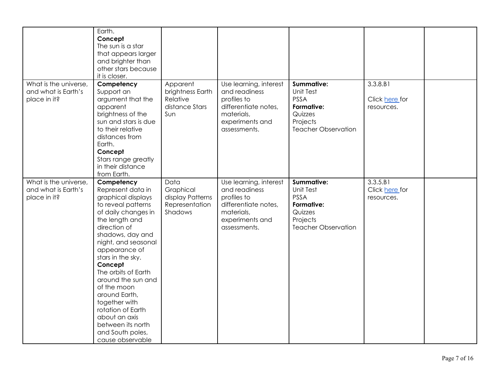| What is the universe,                                        | Earth.<br>Concept<br>The sun is a star<br>that appears larger<br>and brighter than<br>other stars because<br>it is closer.<br>Competency                                                                                                                                                                                                                                                                                          | Apparent                                                           | Use learning, interest                                                                                                          | <b>Summative:</b>                                                                                                       | 3.3.8.B1                                 |  |
|--------------------------------------------------------------|-----------------------------------------------------------------------------------------------------------------------------------------------------------------------------------------------------------------------------------------------------------------------------------------------------------------------------------------------------------------------------------------------------------------------------------|--------------------------------------------------------------------|---------------------------------------------------------------------------------------------------------------------------------|-------------------------------------------------------------------------------------------------------------------------|------------------------------------------|--|
| and what is Earth's<br>place in it?                          | Support an<br>argument that the<br>apparent<br>brightness of the<br>sun and stars is due<br>to their relative<br>distances from<br>Earth.<br>Concept<br>Stars range greatly<br>in their distance<br>from Earth.                                                                                                                                                                                                                   | brightness Earth<br>Relative<br>distance Stars<br>Sun              | and readiness<br>profiles to<br>differentiate notes,<br>materials,<br>experiments and<br>assessments.                           | Unit Test<br><b>PSSA</b><br>Formative:<br>Quizzes<br>Projects<br><b>Teacher Observation</b>                             | Click here for<br>resources.             |  |
| What is the universe,<br>and what is Earth's<br>place in it? | Competency<br>Represent data in<br>graphical displays<br>to reveal patterns<br>of daily changes in<br>the length and<br>direction of<br>shadows, day and<br>night, and seasonal<br>appearance of<br>stars in the sky.<br>Concept<br>The orbits of Earth<br>around the sun and<br>of the moon<br>around Earth,<br>together with<br>rotation of Earth<br>about an axis<br>between its north<br>and South poles,<br>cause observable | Data<br>Graphical<br>display Patterns<br>Representation<br>Shadows | Use learning, interest<br>and readiness<br>profiles to<br>differentiate notes,<br>materials,<br>experiments and<br>assessments. | <b>Summative:</b><br><b>Unit Test</b><br><b>PSSA</b><br>Formative:<br>Quizzes<br>Projects<br><b>Teacher Observation</b> | 3.3.5.B1<br>Click here for<br>resources. |  |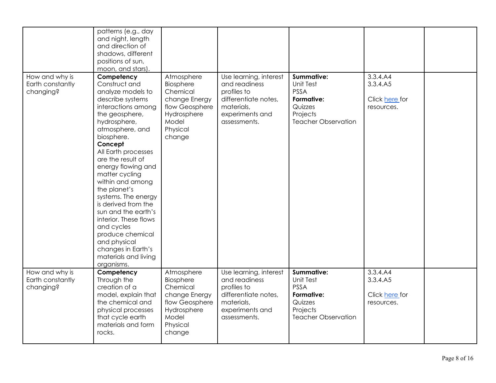|                                                 | patterns (e.g., day<br>and night, length<br>and direction of<br>shadows, different<br>positions of sun,<br>moon, and stars).                                                                                                                                                                                                                                                                                                                                                                                 |                                                                                                                      |                                                                                                                                 |                                                                                                                  |                                                      |  |
|-------------------------------------------------|--------------------------------------------------------------------------------------------------------------------------------------------------------------------------------------------------------------------------------------------------------------------------------------------------------------------------------------------------------------------------------------------------------------------------------------------------------------------------------------------------------------|----------------------------------------------------------------------------------------------------------------------|---------------------------------------------------------------------------------------------------------------------------------|------------------------------------------------------------------------------------------------------------------|------------------------------------------------------|--|
| How and why is<br>Earth constantly<br>changing? | Competency<br>Construct and<br>analyze models to<br>describe systems<br>interactions among<br>the geosphere,<br>hydrosphere,<br>atmosphere, and<br>biosphere.<br>Concept<br>All Earth processes<br>are the result of<br>energy flowing and<br>matter cycling<br>within and among<br>the planet's<br>systems. The energy<br>is derived from the<br>sun and the earth's<br>interior. These flows<br>and cycles<br>produce chemical<br>and physical<br>changes in Earth's<br>materials and living<br>organisms. | Atmosphere<br>Biosphere<br>Chemical<br>change Energy<br>flow Geosphere<br>Hydrosphere<br>Model<br>Physical<br>change | Use learning, interest<br>and readiness<br>profiles to<br>differentiate notes,<br>materials,<br>experiments and<br>assessments. | Summative:<br>Unit Test<br><b>PSSA</b><br>Formative:<br>Quizzes<br>Projects<br><b>Teacher Observation</b>        | 3.3.4.A4<br>3.3.4.A5<br>Click here for<br>resources. |  |
| How and why is<br>Earth constantly<br>changing? | Competency<br>Through the<br>creation of a<br>model, explain that<br>the chemical and<br>physical processes<br>that cycle earth<br>materials and form<br>rocks.                                                                                                                                                                                                                                                                                                                                              | Atmosphere<br>Biosphere<br>Chemical<br>change Energy<br>flow Geosphere<br>Hydrosphere<br>Model<br>Physical<br>change | Use learning, interest<br>and readiness<br>profiles to<br>differentiate notes,<br>materials,<br>experiments and<br>assessments. | <b>Summative:</b><br>Unit Test<br><b>PSSA</b><br>Formative:<br>Quizzes<br>Projects<br><b>Teacher Observation</b> | 3.3.4.A4<br>3.3.4.A5<br>Click here for<br>resources. |  |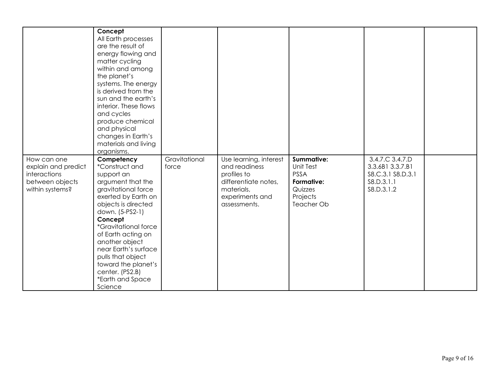|                     | Concept                     |               |                        |             |                   |  |
|---------------------|-----------------------------|---------------|------------------------|-------------|-------------------|--|
|                     | All Earth processes         |               |                        |             |                   |  |
|                     | are the result of           |               |                        |             |                   |  |
|                     | energy flowing and          |               |                        |             |                   |  |
|                     | matter cycling              |               |                        |             |                   |  |
|                     | within and among            |               |                        |             |                   |  |
|                     | the planet's                |               |                        |             |                   |  |
|                     | systems. The energy         |               |                        |             |                   |  |
|                     | is derived from the         |               |                        |             |                   |  |
|                     | sun and the earth's         |               |                        |             |                   |  |
|                     |                             |               |                        |             |                   |  |
|                     | interior. These flows       |               |                        |             |                   |  |
|                     | and cycles                  |               |                        |             |                   |  |
|                     | produce chemical            |               |                        |             |                   |  |
|                     | and physical                |               |                        |             |                   |  |
|                     | changes in Earth's          |               |                        |             |                   |  |
|                     | materials and living        |               |                        |             |                   |  |
|                     | organisms.                  |               |                        |             |                   |  |
| How can one         | Competency                  | Gravitational | Use learning, interest | Summative:  | 3.4.7.C 3.4.7.D   |  |
| explain and predict | *Construct and              | force         | and readiness          | Unit Test   | 3.3.6B1 3.3.7.B1  |  |
| interactions        | support an                  |               | profiles to            | <b>PSSA</b> | S8.C.3.1 S8.D.3.1 |  |
| between objects     | argument that the           |               | differentiate notes,   | Formative:  | \$8.D.3.1.1       |  |
| within systems?     | gravitational force         |               | materials,             | Quizzes     | \$8.D.3.1.2       |  |
|                     | exerted by Earth on         |               | experiments and        | Projects    |                   |  |
|                     | objects is directed         |               | assessments.           | Teacher Ob  |                   |  |
|                     | down. (5-PS2-1)             |               |                        |             |                   |  |
|                     | Concept                     |               |                        |             |                   |  |
|                     | <i>*Gravitational force</i> |               |                        |             |                   |  |
|                     | of Earth acting on          |               |                        |             |                   |  |
|                     | another object              |               |                        |             |                   |  |
|                     | near Earth's surface        |               |                        |             |                   |  |
|                     | pulls that object           |               |                        |             |                   |  |
|                     | toward the planet's         |               |                        |             |                   |  |
|                     | center. (PS2.B)             |               |                        |             |                   |  |
|                     | *Earth and Space            |               |                        |             |                   |  |
|                     | Science                     |               |                        |             |                   |  |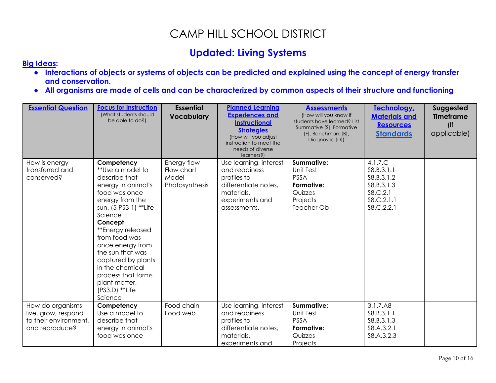## CAMP HILL SCHOOL DISTRICT

## **Updated: Living Systems**

#### **[Big Ideas](http://www.pdesas.org/module/sas/curriculumframework/):**

- **● Interactions of objects or systems of objects can be predicted and explained using the concept of energy transfer and conservation.**
- **● All organisms are made of cells and can be characterized by common aspects of their structure and functioning**

| <b>Essential Question</b>                                                          | <b>Focus for Instruction</b><br>(What students should<br>be able to do?)                                                                                                                                                                                                                                                                              | <b>Essential</b><br><b>Vocabulary</b>                | <b>Planned Learning</b><br><b>Experiences and</b><br><b>Instructional</b><br><b>Strategies</b><br>(How will you adjust<br>instruction to meet the<br>needs of diverse<br>learners?) | <b>Assessments</b><br>(How will you know if<br>students have learned? List<br>Summative [S], Formative<br>[F], Benchmark [B],<br>Diagnostic [D]) | Technology,<br><b>Materials and</b><br><b>Resources</b><br><b>Standards</b>                  | Suggested<br><b>Timeframe</b><br>(<br>applicable) |
|------------------------------------------------------------------------------------|-------------------------------------------------------------------------------------------------------------------------------------------------------------------------------------------------------------------------------------------------------------------------------------------------------------------------------------------------------|------------------------------------------------------|-------------------------------------------------------------------------------------------------------------------------------------------------------------------------------------|--------------------------------------------------------------------------------------------------------------------------------------------------|----------------------------------------------------------------------------------------------|---------------------------------------------------|
| How is energy<br>transferred and<br>conserved?                                     | Competency<br>**Use a model to<br>describe that<br>energy in animal's<br>food was once<br>energy from the<br>sun. (5-PS3-1) **Life<br>Science<br>Concept<br>**Energy released<br>from food was<br>once energy from<br>the sun that was<br>captured by plants<br>in the chemical<br>process that forms<br>plant matter.<br>$(PS3.D)$ **Life<br>Science | Energy flow<br>Flow chart<br>Model<br>Photosynthesis | Use learning, interest<br>and readiness<br>profiles to<br>differentiate notes,<br>materials,<br>experiments and<br>assessments.                                                     | Summative:<br>Unit Test<br><b>PSSA</b><br>Formative:<br>Quizzes<br>Projects<br><b>Teacher Ob</b>                                                 | 4.1.7.C<br>S8.B.3.1.1<br>S8.B.3.1.2<br>S8.B.3.1.3<br>\$8.C.2.1<br>\$8.C.2.1.1<br>\$8.C.2.2.1 |                                                   |
| How do organisms<br>live, grow, respond<br>to their environment,<br>and reproduce? | Competency<br>Use a model to<br>describe that<br>energy in animal's<br>food was once                                                                                                                                                                                                                                                                  | Food chain<br>Food web                               | Use learning, interest<br>and readiness<br>profiles to<br>differentiate notes,<br>materials,<br>experiments and                                                                     | <b>Summative:</b><br><b>Unit Test</b><br><b>PSSA</b><br>Formative:<br>Quizzes<br>Projects                                                        | 3.1.7.A8<br>\$8.B.3.1.1<br>S8.B.3.1.3<br>\$8.A.3.2.1<br>S8.A.3.2.3                           |                                                   |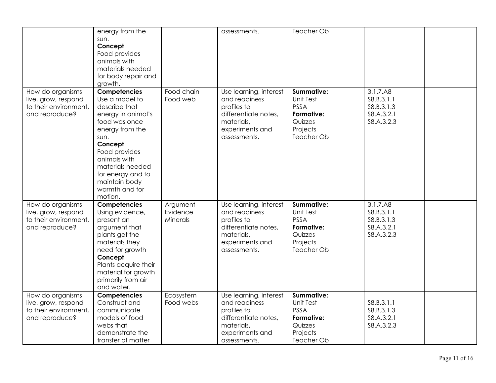|                                                                                    | energy from the<br>sun.<br>Concept<br>Food provides<br>animals with<br>materials needed<br>for body repair and<br>growth.                                                                                                                            |                                  | assessments.                                                                                                                    | Teacher Ob                                                                                |                                                                    |  |
|------------------------------------------------------------------------------------|------------------------------------------------------------------------------------------------------------------------------------------------------------------------------------------------------------------------------------------------------|----------------------------------|---------------------------------------------------------------------------------------------------------------------------------|-------------------------------------------------------------------------------------------|--------------------------------------------------------------------|--|
| How do organisms<br>live, grow, respond<br>to their environment,<br>and reproduce? | Competencies<br>Use a model to<br>describe that<br>energy in animal's<br>food was once<br>energy from the<br>sun.<br>Concept<br>Food provides<br>animals with<br>materials needed<br>for energy and to<br>maintain body<br>warmth and for<br>motion. | Food chain<br>Food web           | Use learning, interest<br>and readiness<br>profiles to<br>differentiate notes,<br>materials,<br>experiments and<br>assessments. | Summative:<br>Unit Test<br><b>PSSA</b><br>Formative:<br>Quizzes<br>Projects<br>Teacher Ob | 3.1.7.A8<br>S8.B.3.1.1<br>S8.B.3.1.3<br>\$8.A.3.2.1<br>S8.A.3.2.3  |  |
| How do organisms<br>live, grow, respond<br>to their environment,<br>and reproduce? | Competencies<br>Using evidence,<br>present an<br>argument that<br>plants get the<br>materials they<br>need for growth<br>Concept<br>Plants acquire their<br>material for growth<br>primarily from air<br>and water.                                  | Argument<br>Evidence<br>Minerals | Use learning, interest<br>and readiness<br>profiles to<br>differentiate notes,<br>materials,<br>experiments and<br>assessments. | Summative:<br>Unit Test<br><b>PSSA</b><br>Formative:<br>Quizzes<br>Projects<br>Teacher Ob | 3.1.7.A8<br>\$8.B.3.1.1<br>S8.B.3.1.3<br>\$8.A.3.2.1<br>S8.A.3.2.3 |  |
| How do organisms<br>live, grow, respond<br>to their environment,<br>and reproduce? | Competencies<br>Construct and<br>communicate<br>models of food<br>webs that<br>demonstrate the<br>transfer of matter                                                                                                                                 | Ecosystem<br>Food webs           | Use learning, interest<br>and readiness<br>profiles to<br>differentiate notes,<br>materials,<br>experiments and<br>assessments. | Summative:<br>Unit Test<br><b>PSSA</b><br>Formative:<br>Quizzes<br>Projects<br>Teacher Ob | S8.B.3.1.1<br>S8.B.3.1.3<br>\$8.A.3.2.1<br>S8.A.3.2.3              |  |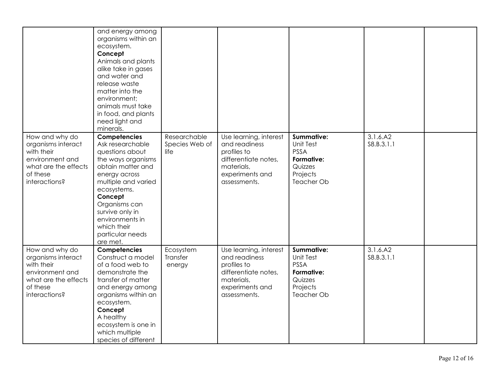|                                                                                                                            | and energy among<br>organisms within an<br>ecosystem.<br>Concept<br>Animals and plants<br>alike take in gases<br>and water and<br>release waste<br>matter into the<br>environment;<br>animals must take<br>in food, and plants<br>need light and<br>minerals.          |                                        |                                                                                                                                 |                                                                                                  |                         |  |
|----------------------------------------------------------------------------------------------------------------------------|------------------------------------------------------------------------------------------------------------------------------------------------------------------------------------------------------------------------------------------------------------------------|----------------------------------------|---------------------------------------------------------------------------------------------------------------------------------|--------------------------------------------------------------------------------------------------|-------------------------|--|
| How and why do<br>organisms interact<br>with their<br>environment and<br>what are the effects<br>of these<br>interactions? | Competencies<br>Ask researchable<br>questions about<br>the ways organisms<br>obtain matter and<br>energy across<br>multiple and varied<br>ecosystems.<br>Concept<br>Organisms can<br>survive only in<br>environments in<br>which their<br>particular needs<br>are met. | Researchable<br>Species Web of<br>life | Use learning, interest<br>and readiness<br>profiles to<br>differentiate notes,<br>materials,<br>experiments and<br>assessments. | <b>Summative:</b><br>Unit Test<br><b>PSSA</b><br>Formative:<br>Quizzes<br>Projects<br>Teacher Ob | 3.1.6.A2<br>S8.B.3.1.1  |  |
| How and why do<br>organisms interact<br>with their<br>environment and<br>what are the effects<br>of these<br>interactions? | Competencies<br>Construct a model<br>of a food web to<br>demonstrate the<br>transfer of matter<br>and energy among<br>organisms within an<br>ecosystem.<br>Concept<br>A healthy<br>ecosystem is one in<br>which multiple<br>species of different                       | Ecosystem<br>Transfer<br>energy        | Use learning, interest<br>and readiness<br>profiles to<br>differentiate notes,<br>materials,<br>experiments and<br>assessments. | <b>Summative:</b><br>Unit Test<br><b>PSSA</b><br>Formative:<br>Quizzes<br>Projects<br>Teacher Ob | 3.1.6.A2<br>\$8.B.3.1.1 |  |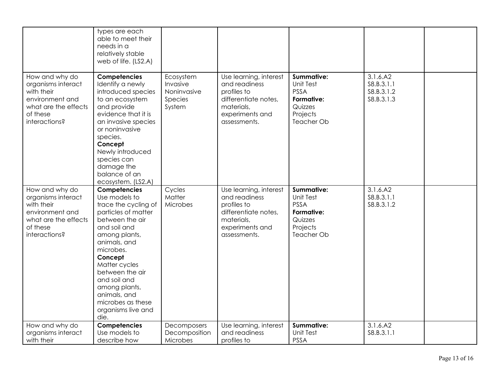|                                                                                                                            | types are each<br>able to meet their<br>needs in a<br>relatively stable<br>web of life. (LS2.A)                                                                                                                                                                                                                  |                                                           |                                                                                                                                 |                                                                                                         |                                                     |  |
|----------------------------------------------------------------------------------------------------------------------------|------------------------------------------------------------------------------------------------------------------------------------------------------------------------------------------------------------------------------------------------------------------------------------------------------------------|-----------------------------------------------------------|---------------------------------------------------------------------------------------------------------------------------------|---------------------------------------------------------------------------------------------------------|-----------------------------------------------------|--|
| How and why do<br>organisms interact<br>with their<br>environment and<br>what are the effects<br>of these<br>interactions? | Competencies<br>Identify a newly<br>introduced species<br>to an ecosystem<br>and provide<br>evidence that it is<br>an invasive species<br>or noninvasive<br>species.<br>Concept<br>Newly introduced<br>species can<br>damage the<br>balance of an<br>ecosystem. (LS2.A)                                          | Ecosystem<br>Invasive<br>Noninvasive<br>Species<br>System | Use learning, interest<br>and readiness<br>profiles to<br>differentiate notes,<br>materials,<br>experiments and<br>assessments. | <b>Summative:</b><br><b>Unit Test</b><br><b>PSSA</b><br>Formative:<br>Quizzes<br>Projects<br>Teacher Ob | 3.1.6.A2<br>\$8.B.3.1.1<br>S8.B.3.1.2<br>S8.B.3.1.3 |  |
| How and why do<br>organisms interact<br>with their<br>environment and<br>what are the effects<br>of these<br>interactions? | Competencies<br>Use models to<br>trace the cycling of<br>particles of matter<br>between the air<br>and soil and<br>among plants,<br>animals, and<br>microbes.<br>Concept<br>Matter cycles<br>between the air<br>and soil and<br>among plants,<br>animals, and<br>microbes as these<br>organisms live and<br>die. | Cycles<br>Matter<br>Microbes                              | Use learning, interest<br>and readiness<br>profiles to<br>differentiate notes,<br>materials,<br>experiments and<br>assessments. | <b>Summative:</b><br>Unit Test<br><b>PSSA</b><br>Formative:<br>Quizzes<br>Projects<br>Teacher Ob        | 3.1.6.A2<br>S8.B.3.1.1<br>S8.B.3.1.2                |  |
| How and why do<br>organisms interact<br>with their                                                                         | Competencies<br>Use models to<br>describe how                                                                                                                                                                                                                                                                    | Decomposers<br>Decomposition<br>Microbes                  | Use learning, interest<br>and readiness<br>profiles to                                                                          | <b>Summative:</b><br><b>Unit Test</b><br><b>PSSA</b>                                                    | 3.1.6.A2<br>\$8.B.3.1.1                             |  |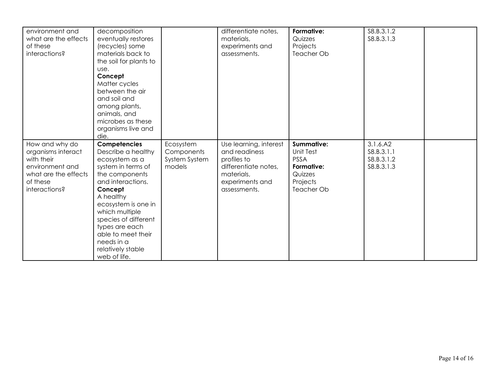| environment and<br>what are the effects<br>of these<br>interactions?                                                       | decomposition<br>eventually restores<br>(recycles) some<br>materials back to<br>the soil for plants to<br>use.<br>Concept<br>Matter cycles<br>between the air<br>and soil and<br>among plants,<br>animals, and<br>microbes as these<br>organisms live and<br>die.                                     |                                                    | differentiate notes,<br>materials,<br>experiments and<br>assessments.                                                           | Formative:<br>Quizzes<br>Projects<br>Teacher Ob                                                                | S8.B.3.1.2<br>S8.B.3.1.3                            |  |
|----------------------------------------------------------------------------------------------------------------------------|-------------------------------------------------------------------------------------------------------------------------------------------------------------------------------------------------------------------------------------------------------------------------------------------------------|----------------------------------------------------|---------------------------------------------------------------------------------------------------------------------------------|----------------------------------------------------------------------------------------------------------------|-----------------------------------------------------|--|
| How and why do<br>organisms interact<br>with their<br>environment and<br>what are the effects<br>of these<br>interactions? | Competencies<br>Describe a healthy<br>ecosystem as a<br>system in terms of<br>the components<br>and interactions.<br>Concept<br>A healthy<br>ecosystem is one in<br>which multiple<br>species of different<br>types are each<br>able to meet their<br>needs in a<br>relatively stable<br>web of life. | Ecosystem<br>Components<br>System System<br>models | Use learning, interest<br>and readiness<br>profiles to<br>differentiate notes,<br>materials,<br>experiments and<br>assessments. | <b>Summative:</b><br><b>Unit Test</b><br><b>PSSA</b><br>Formative:<br>Quizzes<br>Projects<br><b>Teacher Ob</b> | 3.1.6.A2<br>\$8.B.3.1.1<br>S8.B.3.1.2<br>S8.B.3.1.3 |  |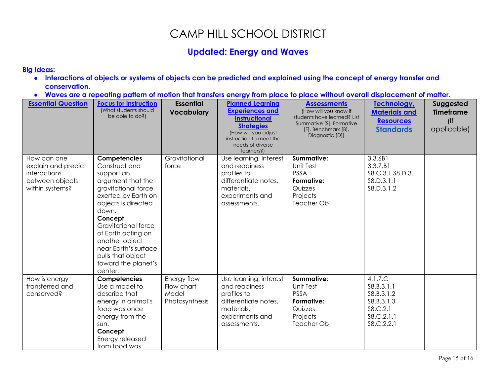## CAMP HILL SCHOOL DISTRICT

### **Updated: Energy and Waves**

#### **Big [Ideas:](http://www.pdesas.org/module/sas/curriculumframework/)**

- . Interactions of objects or systems of objects can be predicted and explained using the concept of energy transfer and **conservation.**
- . Waves are a repeating pattern of motion that transfers energy from place to place without overall displacement of matter.

| <b>Essential Question</b>                                                                       | <b>Focus for Instruction</b><br>(What students should<br>be able to do?)                                                                                                                                                                                                                                | <b>Essential</b><br><b>Vocabulary</b>                | <b>Planned Learning</b><br><b>Experiences and</b><br><b>Instructional</b><br><b>Strategies</b><br>(How will you adjust<br>instruction to meet the<br>needs of diverse<br>learners?) | <b>Assessments</b><br>(How will you know if<br>students have learned? List<br>Summative [S], Formative<br>[F], Benchmark [B],<br>Diagnostic [D]) | Technology,<br><b>Materials and</b><br><b>Resources</b><br><b>Standards</b>                | Suggested<br><b>Timeframe</b><br>(<br>applicable) |
|-------------------------------------------------------------------------------------------------|---------------------------------------------------------------------------------------------------------------------------------------------------------------------------------------------------------------------------------------------------------------------------------------------------------|------------------------------------------------------|-------------------------------------------------------------------------------------------------------------------------------------------------------------------------------------|--------------------------------------------------------------------------------------------------------------------------------------------------|--------------------------------------------------------------------------------------------|---------------------------------------------------|
| How can one<br>explain and predict<br><i>interactions</i><br>between objects<br>within systems? | Competencies<br>Construct and<br>support an<br>argument that the<br>gravitational force<br>exerted by Earth on<br>objects is directed<br>down.<br>Concept<br>Gravitational force<br>of Earth acting on<br>another object<br>near Earth's surface<br>pulls that object<br>toward the planet's<br>center. | Gravitational<br>force                               | Use learning, interest<br>and readiness<br>profiles to<br>differentiate notes,<br>materials,<br>experiments and<br>assessments.                                                     | <b>Summative:</b><br><b>Unit Test</b><br><b>PSSA</b><br>Formative:<br>Quizzes<br>Projects<br><b>Teacher Ob</b>                                   | 3.3.6B1<br>3.3.7.B1<br>\$8.C.3.1 \$8.D.3.1<br>S8.D.3.1.1<br>\$8.D.3.1.2                    |                                                   |
| How is energy<br>transferred and<br>conserved?                                                  | Competencies<br>Use a model to<br>describe that<br>energy in animal's<br>food was once<br>energy from the<br>sun.<br>Concept<br>Energy released<br>from food was                                                                                                                                        | Energy flow<br>Flow chart<br>Model<br>Photosynthesis | Use learning, interest<br>and readiness<br>profiles to<br>differentiate notes,<br>materials,<br>experiments and<br>assessments.                                                     | <b>Summative:</b><br><b>Unit Test</b><br><b>PSSA</b><br>Formative:<br>Quizzes<br>Projects<br><b>Teacher Ob</b>                                   | 4.1.7.C<br>S8.B.3.1.1<br>S8.B.3.1.2<br>S8.B.3.1.3<br>S8.C.2.1<br>\$8.C.2.1.1<br>S8.C.2.2.1 |                                                   |